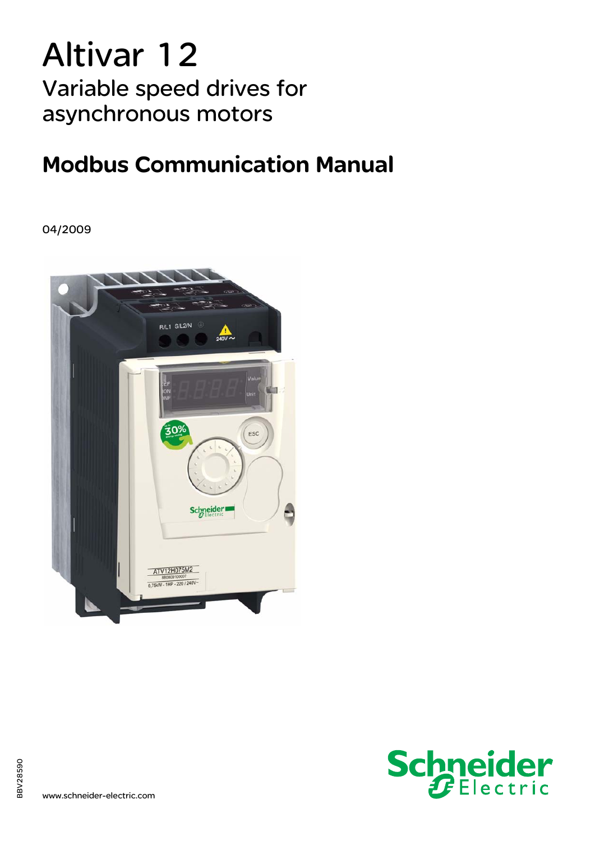# Altivar 12 Variable speed drives for asynchronous motors

## Modbus Communication Manual

04/2009



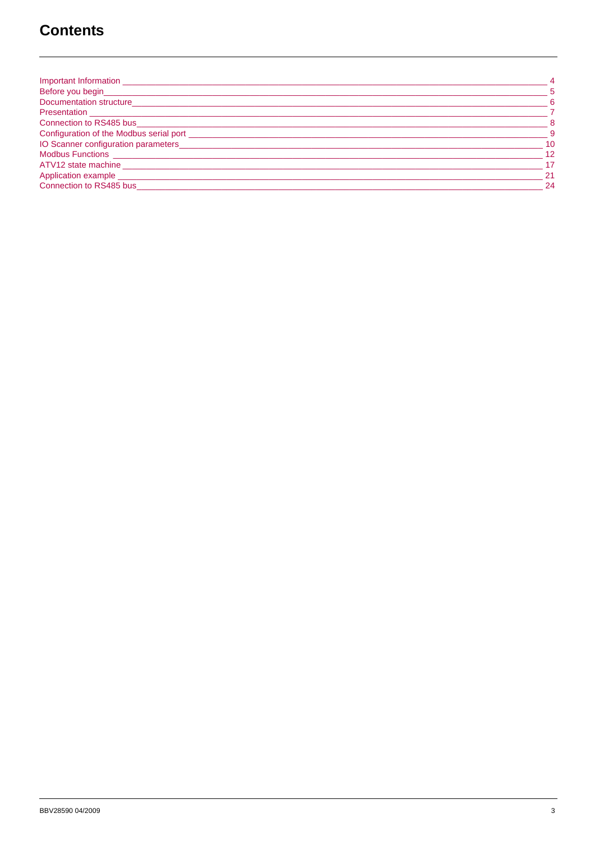## **Contents**

| Important Information                                             | -4                         |
|-------------------------------------------------------------------|----------------------------|
| Before you begin__________________                                | 5                          |
| Documentation structure_____________                              | - 6                        |
|                                                                   |                            |
| Connection to RS485 business and the connection of RS485 business | $\overline{\phantom{0}}$ 8 |
| Configuration of the Modbus serial port _____________             | - 9                        |
| IO Scanner configuration parameters ________________              | $-10$                      |
| Modbus Functions _______________________                          | 12                         |
| ATV12 state machine                                               | 17                         |
|                                                                   | -21                        |
| Connection to RS485 bus                                           | -24                        |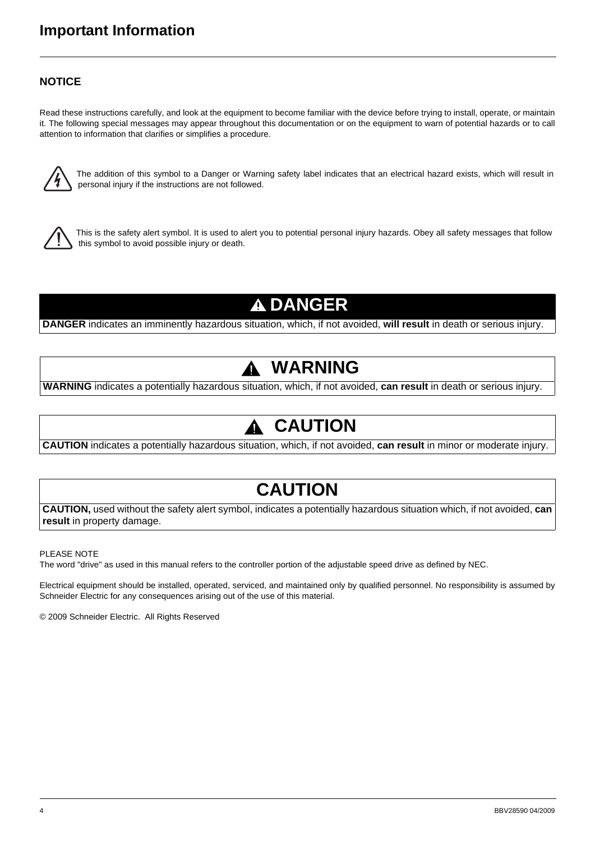## <span id="page-3-0"></span>**Important Information**

### **NOTICE**

Read these instructions carefully, and look at the equipment to become familiar with the device before trying to install, operate, or maintain it. The following special messages may appear throughout this documentation or on the equipment to warn of potential hazards or to call attention to information that clarifies or simplifies a procedure.



The addition of this symbol to a Danger or Warning safety label indicates that an electrical hazard exists, which will result in personal injury if the instructions are not followed.



This is the safety alert symbol. It is used to alert you to potential personal injury hazards. Obey all safety messages that follow this symbol to avoid possible injury or death.

## **A DANGER**

**DANGER** indicates an imminently hazardous situation, which, if not avoided, **will result** in death or serious injury.

## **WARNING**

**WARNING** indicates a potentially hazardous situation, which, if not avoided, **can result** in death or serious injury.

## **CAUTION**

**CAUTION** indicates a potentially hazardous situation, which, if not avoided, **can result** in minor or moderate injury.

## **CAUTION**

**CAUTION,** used without the safety alert symbol, indicates a potentially hazardous situation which, if not avoided, **can result** in property damage.

PLEASE NOTE

The word "drive" as used in this manual refers to the controller portion of the adjustable speed drive as defined by NEC.

Electrical equipment should be installed, operated, serviced, and maintained only by qualified personnel. No responsibility is assumed by Schneider Electric for any consequences arising out of the use of this material.

© 2009 Schneider Electric. All Rights Reserved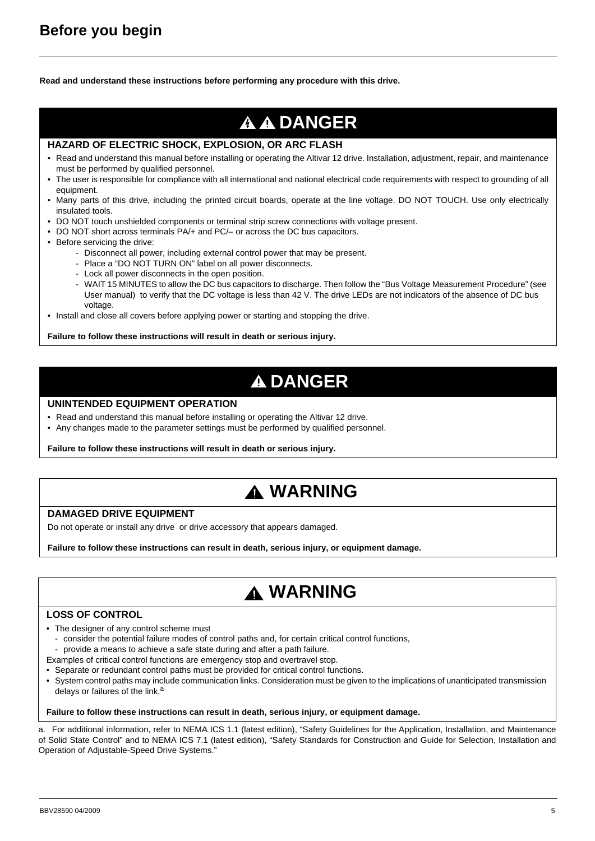<span id="page-4-0"></span>**Read and understand these instructions before performing any procedure with this drive.**

## **A A DANGER**

#### **HAZARD OF ELECTRIC SHOCK, EXPLOSION, OR ARC FLASH**

- Read and understand this manual before installing or operating the Altivar 12 drive. Installation, adjustment, repair, and maintenance must be performed by qualified personnel.
- The user is responsible for compliance with all international and national electrical code requirements with respect to grounding of all equipment.
- Many parts of this drive, including the printed circuit boards, operate at the line voltage. DO NOT TOUCH. Use only electrically insulated tools.
- DO NOT touch unshielded components or terminal strip screw connections with voltage present.
- DO NOT short across terminals PA/+ and PC/– or across the DC bus capacitors.
- Before servicing the drive:
	- Disconnect all power, including external control power that may be present.
	- Place a "DO NOT TURN ON" label on all power disconnects.
	- Lock all power disconnects in the open position.
	- WAIT 15 MINUTES to allow the DC bus capacitors to discharge. Then follow the "Bus Voltage Measurement Procedure" (see User manual) to verify that the DC voltage is less than 42 V. The drive LEDs are not indicators of the absence of DC bus voltage.
- Install and close all covers before applying power or starting and stopping the drive.

#### **Failure to follow these instructions will result in death or serious injury.**

## **A DANGER**

#### **UNINTENDED EQUIPMENT OPERATION**

- Read and understand this manual before installing or operating the Altivar 12 drive.
- Any changes made to the parameter settings must be performed by qualified personnel.

**Failure to follow these instructions will result in death or serious injury.**

## **WARNING**

#### **DAMAGED DRIVE EQUIPMENT**

Do not operate or install any drive or drive accessory that appears damaged.

**Failure to follow these instructions can result in death, serious injury, or equipment damage.**

## **WARNING**

#### **LOSS OF CONTROL**

- The designer of any control scheme must
- consider the potential failure modes of control paths and, for certain critical control functions,
- provide a means to achieve a safe state during and after a path failure.
- Examples of critical control functions are emergency stop and overtravel stop.
- Separate or redundant control paths must be provided for critical control functions.
- System control paths may include communication links. Consideration must be given to the implications of unanticipated transmission delays or failures of the link.<sup>a</sup>

#### **Failure to follow these instructions can result in death, serious injury, or equipment damage.**

a. For additional information, refer to NEMA ICS 1.1 (latest edition), "Safety Guidelines for the Application, Installation, and Maintenance of Solid State Control" and to NEMA ICS 7.1 (latest edition), "Safety Standards for Construction and Guide for Selection, Installation and Operation of Adjustable-Speed Drive Systems."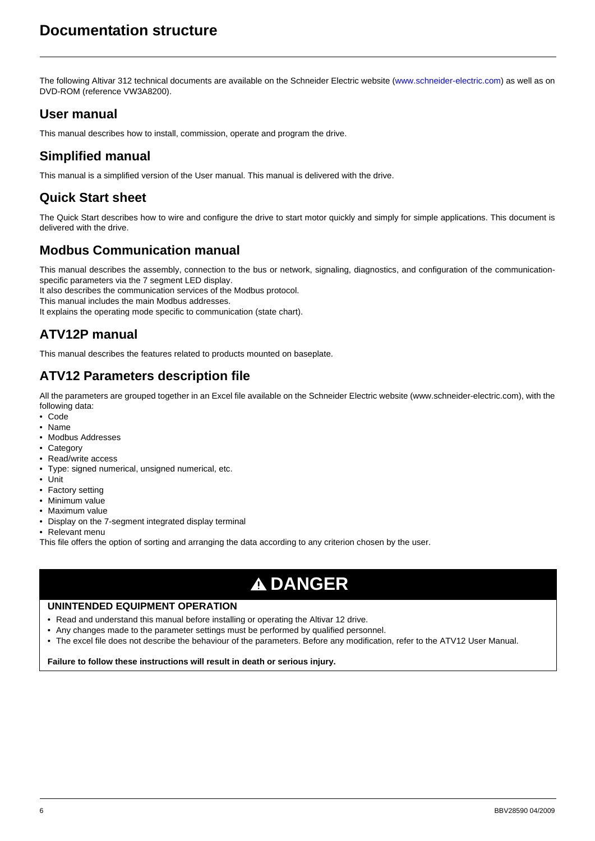<span id="page-5-0"></span>The following Altivar 312 technical documents are available on the Schneider Electric website ([www.schneider-electric.com](http://www.schneider-electric.com)) as well as on DVD-ROM (reference VW3A8200).

## **User manual**

This manual describes how to install, commission, operate and program the drive.

## **Simplified manual**

This manual is a simplified version of the User manual. This manual is delivered with the drive.

## **Quick Start sheet**

The Quick Start describes how to wire and configure the drive to start motor quickly and simply for simple applications. This document is delivered with the drive.

### **Modbus Communication manual**

This manual describes the assembly, connection to the bus or network, signaling, diagnostics, and configuration of the communicationspecific parameters via the 7 segment LED display.

It also describes the communication services of the Modbus protocol.

This manual includes the main Modbus addresses.

It explains the operating mode specific to communication (state chart).

## **ATV12P manual**

This manual describes the features related to products mounted on baseplate.

## **ATV12 Parameters description file**

[All the parameters are grouped together in an Excel file available on the Schneider Electric website \(www.schneider-electric.com\), with the](http://www.schneider-electric.com) following data:

- Code
- Name
- Modbus Addresses
- Category
- Read/write access
- Type: signed numerical, unsigned numerical, etc.
- Unit
- Factory setting
- Minimum value
- Maximum value
- Display on the 7-segment integrated display terminal
- Relevant menu

This file offers the option of sorting and arranging the data according to any criterion chosen by the user.

## **A DANGER**

#### **UNINTENDED EQUIPMENT OPERATION**

- Read and understand this manual before installing or operating the Altivar 12 drive.
- Any changes made to the parameter settings must be performed by qualified personnel.
- The excel file does not describe the behaviour of the parameters. Before any modification, refer to the ATV12 User Manual.

#### **Failure to follow these instructions will result in death or serious injury.**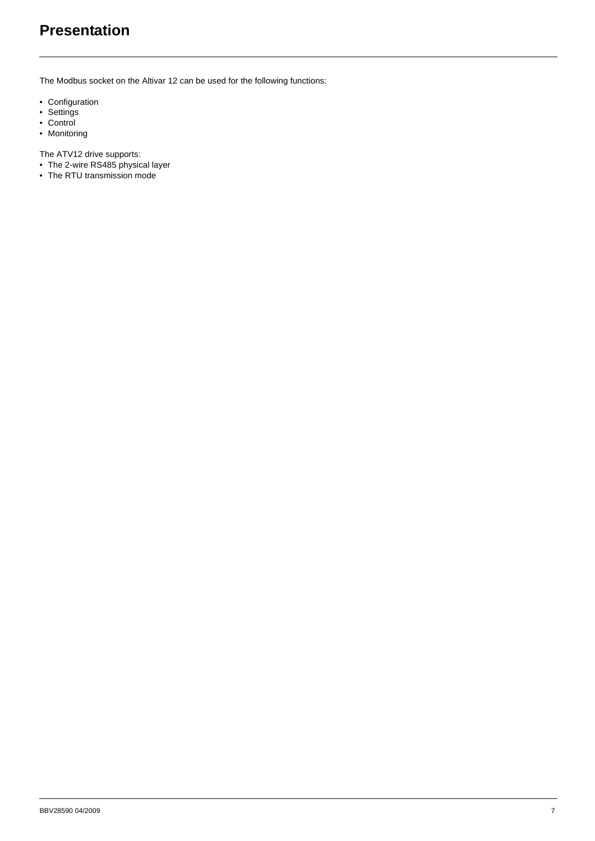## <span id="page-6-0"></span>**Presentation**

The Modbus socket on the Altivar 12 can be used for the following functions:

- Configuration
- Settings
- Control
- Monitoring

The ATV12 drive supports:

- The 2-wire RS485 physical layer
- The RTU transmission mode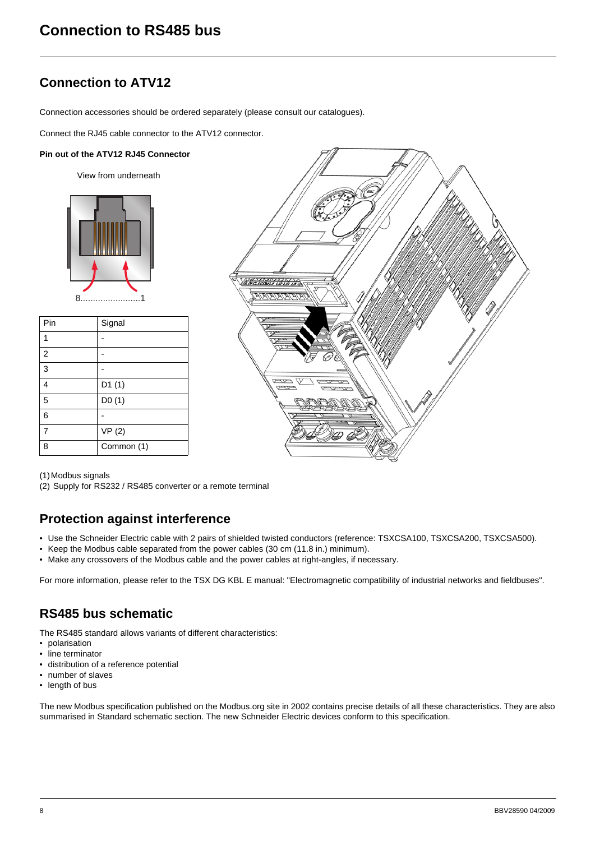## <span id="page-7-0"></span>**Connection to ATV12**

Connection accessories should be ordered separately (please consult our catalogues).

Connect the RJ45 cable connector to the ATV12 connector.

#### **Pin out of the ATV12 RJ45 Connector**

View from underneath



| Pin            | Signal     |
|----------------|------------|
|                |            |
| $\overline{2}$ |            |
| 3              |            |
| 4              | D1(1)      |
| 5              | D0(1)      |
| 6              |            |
| $\overline{7}$ | VP(2)      |
| ጸ              | Common (1) |



(1)Modbus signals

(2) Supply for RS232 / RS485 converter or a remote terminal

## **Protection against interference**

- Use the Schneider Electric cable with 2 pairs of shielded twisted conductors (reference: TSXCSA100, TSXCSA200, TSXCSA500).
- Keep the Modbus cable separated from the power cables (30 cm (11.8 in.) minimum).
- Make any crossovers of the Modbus cable and the power cables at right-angles, if necessary.

For more information, please refer to the TSX DG KBL E manual: "Electromagnetic compatibility of industrial networks and fieldbuses".

## **RS485 bus schematic**

The RS485 standard allows variants of different characteristics:

- polarisation
- line terminator
- distribution of a reference potential
- number of slaves
- length of bus

The new Modbus specification published on the Modbus.org site in 2002 contains precise details of all these characteristics. They are also summarised in Standard schematic section. The new Schneider Electric devices conform to this specification.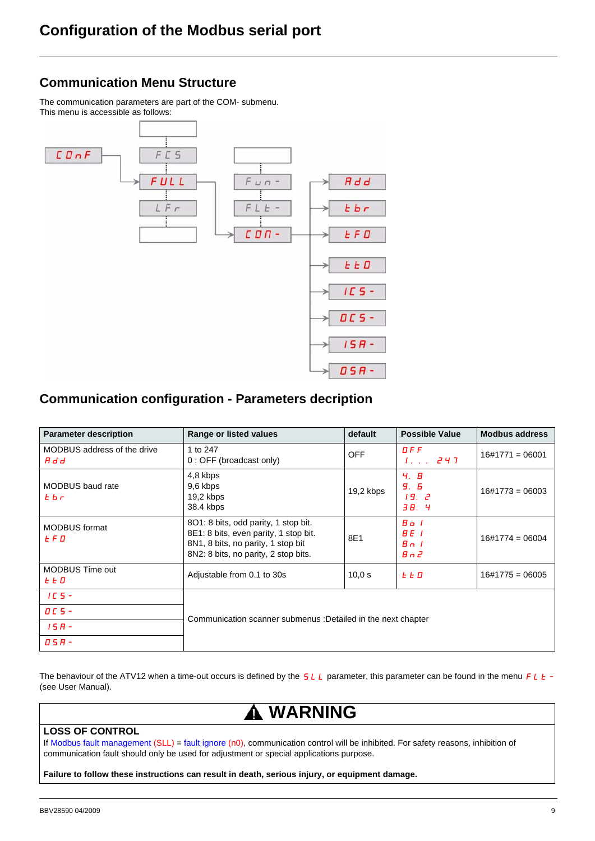## <span id="page-8-0"></span>**Communication Menu Structure**

The communication parameters are part of the COM- submenu. This menu is accessible as follows:



### **Communication configuration - Parameters decription**

| <b>Parameter description</b>               | Range or listed values                                                                                                                                      | default    | <b>Possible Value</b>                       | <b>Modbus address</b> |  |  |  |  |
|--------------------------------------------|-------------------------------------------------------------------------------------------------------------------------------------------------------------|------------|---------------------------------------------|-----------------------|--|--|--|--|
| MODBUS address of the drive<br>H d d       | 1 to 247<br>0 : OFF (broadcast only)                                                                                                                        | <b>OFF</b> | DFF                                         | $16\#1771 = 06001$    |  |  |  |  |
| <b>MODBUS</b> baud rate<br>$E_{\text{b}r}$ | 4,8 kbps<br>9,6 kbps<br>19,2 kbps<br>38.4 kbps                                                                                                              | 19,2 kbps  | 4. B<br><b>9.</b> 6<br>19. Z<br>38. Y       | $16\#1773 = 06003$    |  |  |  |  |
| <b>MODBUS</b> format<br>L F П              | 8O1: 8 bits, odd parity, 1 stop bit.<br>8E1: 8 bits, even parity, 1 stop bit.<br>8N1, 8 bits, no parity, 1 stop bit<br>8N2: 8 bits, no parity, 2 stop bits. | 8E1        | Bo I<br>$BE$ $I$<br>$B_n$ $I$<br>$B \cap P$ | $16\#1774 = 06004$    |  |  |  |  |
| <b>MODBUS Time out</b><br>L L D            | Adjustable from 0.1 to 30s                                                                                                                                  | 10.0 s     | <b>LED</b>                                  | $16\#1775 = 06005$    |  |  |  |  |
| $IC5 -$                                    |                                                                                                                                                             |            |                                             |                       |  |  |  |  |
| $D C S -$                                  |                                                                                                                                                             |            |                                             |                       |  |  |  |  |
| $15B -$                                    | Communication scanner submenus : Detailed in the next chapter                                                                                               |            |                                             |                       |  |  |  |  |
| 05A-                                       |                                                                                                                                                             |            |                                             |                       |  |  |  |  |

The behaviour of the ATV12 when a time-out occurs is defined by the  $SLL$  parameter, this parameter can be found in the menu  $FLL$  -(see User Manual).

## **WARNING**

#### **LOSS OF CONTROL**

If Modbus fault management (SLL) = fault ignore (n0), communication control will be inhibited. For safety reasons, inhibition of communication fault should only be used for adjustment or special applications purpose.

**Failure to follow these instructions can result in death, serious injury, or equipment damage.**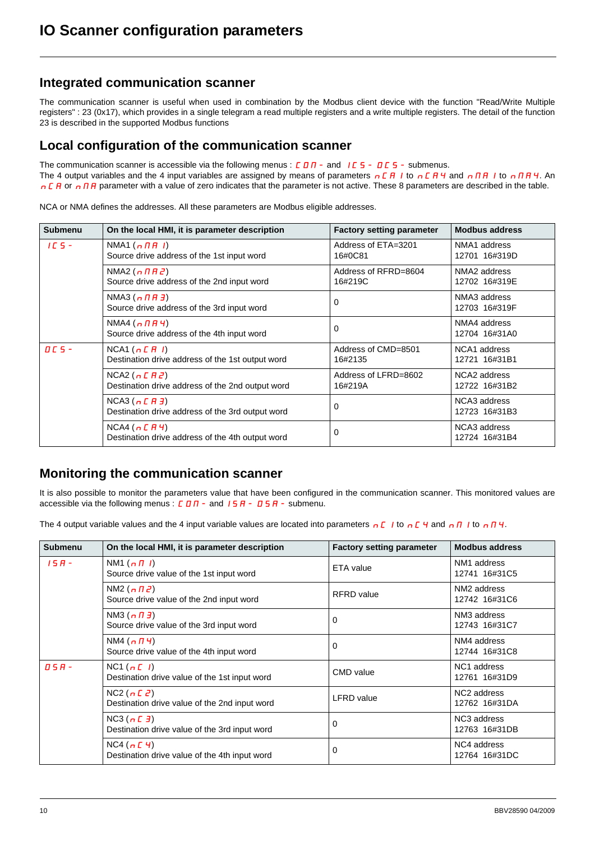### <span id="page-9-0"></span>**Integrated communication scanner**

The communication scanner is useful when used in combination by the Modbus client device with the function "Read/Write Multiple registers" : 23 (0x17), which provides in a single telegram a read multiple registers and a write multiple registers. The detail of the function 23 is described in the supported Modbus functions

### **Local configuration of the communication scanner**

The communication scanner is accessible via the following menus :  $C\overline{D}D -$  and  $\overline{C}D - D\overline{C}S -$  submenus. The 4 output variables and the 4 input variables are assigned by means of parameters  $nCH$  to  $nCH$ 4 and  $nHH$  to  $nHH$  4. An n C A or n N A parameter with a value of zero indicates that the parameter is not active. These 8 parameters are described in the table.

NCA or NMA defines the addresses. All these parameters are Modbus eligible addresses.

| <b>Submenu</b>                    | On the local HMI, it is parameter description                             | <b>Factory setting parameter</b> | <b>Modbus address</b>                     |
|-----------------------------------|---------------------------------------------------------------------------|----------------------------------|-------------------------------------------|
| $ICS -$                           | NMA1 $(n \Pi H I)$<br>Source drive address of the 1st input word          | Address of ETA=3201<br>16#0C81   | NMA1 address<br>12701 16#319D             |
|                                   | NMA2 $(n \Pi H Z)$<br>Source drive address of the 2nd input word          | Address of RFRD=8604<br>16#219C  | NMA <sub>2</sub> address<br>12702 16#319E |
|                                   | NMA3 $(n \nvert \nvert H)$<br>Source drive address of the 3rd input word  | 0                                | NMA3 address<br>12703 16#319F             |
|                                   | NMA4 $(n \Pi H 4)$<br>Source drive address of the 4th input word          | $\Omega$                         | NMA4 address<br>12704 16#31A0             |
| $\overline{a}$ $\overline{c}$ 5 - | NCA1(nCHI)<br>Destination drive address of the 1st output word            | Address of CMD=8501<br>16#2135   | NCA1 address<br>12721 16#31B1             |
|                                   | NCA2 ( $nE$ $H$ $2$ )<br>Destination drive address of the 2nd output word | Address of LFRD=8602<br>16#219A  | NCA2 address<br>12722 16#31B2             |
|                                   | NCA3 (n CH3)<br>Destination drive address of the 3rd output word          | $\Omega$                         | NCA3 address<br>12723 16#31B3             |
|                                   | NCA4 (n CH4)<br>Destination drive address of the 4th output word          | $\Omega$                         | NCA3 address<br>12724 16#31B4             |

### **Monitoring the communication scanner**

It is also possible to monitor the parameters value that have been configured in the communication scanner. This monitored values are accessible via the following menus :  $C \cdot D \cdot \overline{D} - \overline{D} - \overline{D} + \overline{D} + \overline{D} + \overline{D}$  submenu.

The 4 output variable values and the 4 input variable values are located into parameters n  $\Gamma$  to n  $\Gamma$  4 and n  $\Gamma$  to n  $\Gamma$  4.

| <b>Submenu</b> | On the local HMI, it is parameter description                | <b>Factory setting parameter</b> | <b>Modbus address</b>                    |
|----------------|--------------------------------------------------------------|----------------------------------|------------------------------------------|
| $15B -$        | NM1 $(n \Pi)$<br>Source drive value of the 1st input word    | ETA value                        | NM <sub>1</sub> address<br>12741 16#31C5 |
|                | NM2 $(n \Pi Z)$<br>Source drive value of the 2nd input word  | <b>RFRD</b> value                | NM2 address<br>12742 16#31C6             |
|                | NM3 $(n \Pi)$<br>Source drive value of the 3rd input word    | $\Omega$                         | NM3 address<br>12743 16#31C7             |
|                | NM4 $(n \Pi 4)$<br>Source drive value of the 4th input word  | $\Omega$                         | NM4 address<br>12744 16#31C8             |
| $B 5 H -$      | NC1(nL)<br>Destination drive value of the 1st input word     | CMD value                        | NC1 address<br>12761 16#31D9             |
|                | NC2 $(nE2)$<br>Destination drive value of the 2nd input word | LFRD value                       | NC2 address<br>12762 16#31DA             |
|                | NC3(nL)<br>Destination drive value of the 3rd input word     | 0                                | NC3 address<br>12763 16#31DB             |
|                | NC4(nE 4)<br>Destination drive value of the 4th input word   | 0                                | NC4 address<br>12764 16#31DC             |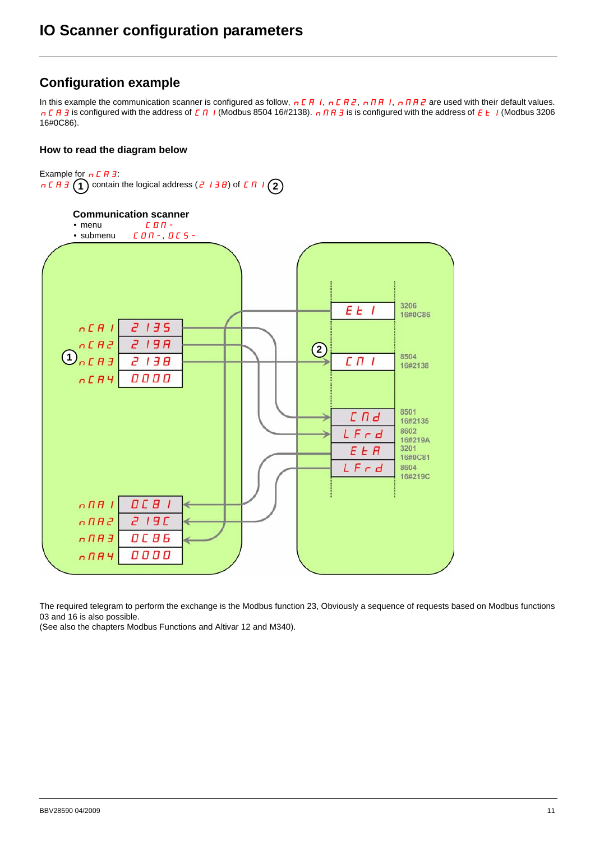### **Configuration example**

In this example the communication scanner is configured as follow,  $nCR1$ ,  $nCR2$ ,  $nRR1$ ,  $nRR2$  are used with their default values. n C R 3 is configured with the address of C N I (Modbus 8504 16#2138). n N R 3 is is configured with the address of E E I (Modbus 3206 16#0C86).

#### **How to read the diagram below**





The required telegram to perform the exchange is the Modbus function 23, Obviously a sequence of requests based on Modbus functions 03 and 16 is also possible.

(See also the chapters Modbus Functions and Altivar 12 and M340).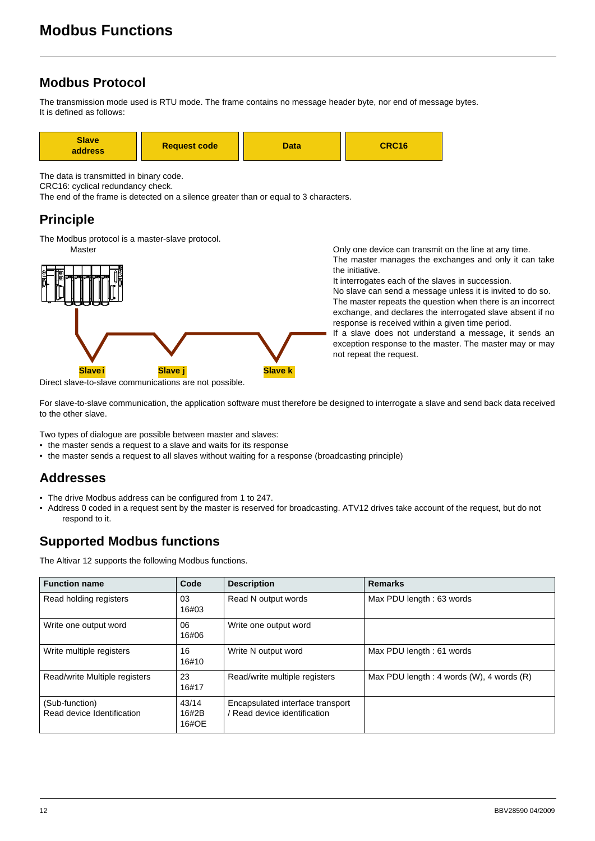## <span id="page-11-0"></span>**Modbus Protocol**

The transmission mode used is RTU mode. The frame contains no message header byte, nor end of message bytes. It is defined as follows:



The data is transmitted in binary code.

CRC16: cyclical redundancy check.

The end of the frame is detected on a silence greater than or equal to 3 characters.

## **Principle**

The Modbus protocol is a master-slave protocol.



Direct slave-to-slave communications are not possible.

Master Master Channel Construction of the Unit of the Unit of the line at any time. The master manages the exchanges and only it can take the initiative.

It interrogates each of the slaves in succession.

No slave can send a message unless it is invited to do so. The master repeats the question when there is an incorrect exchange, and declares the interrogated slave absent if no response is received within a given time period.

If a slave does not understand a message, it sends an exception response to the master. The master may or may not repeat the request.

For slave-to-slave communication, the application software must therefore be designed to interrogate a slave and send back data received to the other slave.

Two types of dialogue are possible between master and slaves:

- the master sends a request to a slave and waits for its response
- the master sends a request to all slaves without waiting for a response (broadcasting principle)

## **Addresses**

- The drive Modbus address can be configured from 1 to 247.
- Address 0 coded in a request sent by the master is reserved for broadcasting. ATV12 drives take account of the request, but do not respond to it.

## **Supported Modbus functions**

The Altivar 12 supports the following Modbus functions.

| <b>Function name</b>                         | Code                    | <b>Description</b>                                               | <b>Remarks</b>                                 |  |  |  |
|----------------------------------------------|-------------------------|------------------------------------------------------------------|------------------------------------------------|--|--|--|
| Read holding registers                       | 03<br>16#03             | Read N output words                                              | Max PDU length: 63 words                       |  |  |  |
| Write one output word                        | 06<br>16#06             | Write one output word                                            |                                                |  |  |  |
| Write multiple registers                     | 16<br>16#10             | Write N output word                                              | Max PDU length: 61 words                       |  |  |  |
| Read/write Multiple registers                | 23<br>16#17             | Read/write multiple registers                                    | Max PDU length : 4 words $(W)$ , 4 words $(R)$ |  |  |  |
| (Sub-function)<br>Read device Identification | 43/14<br>16#2B<br>16#OE | Encapsulated interface transport<br>/ Read device identification |                                                |  |  |  |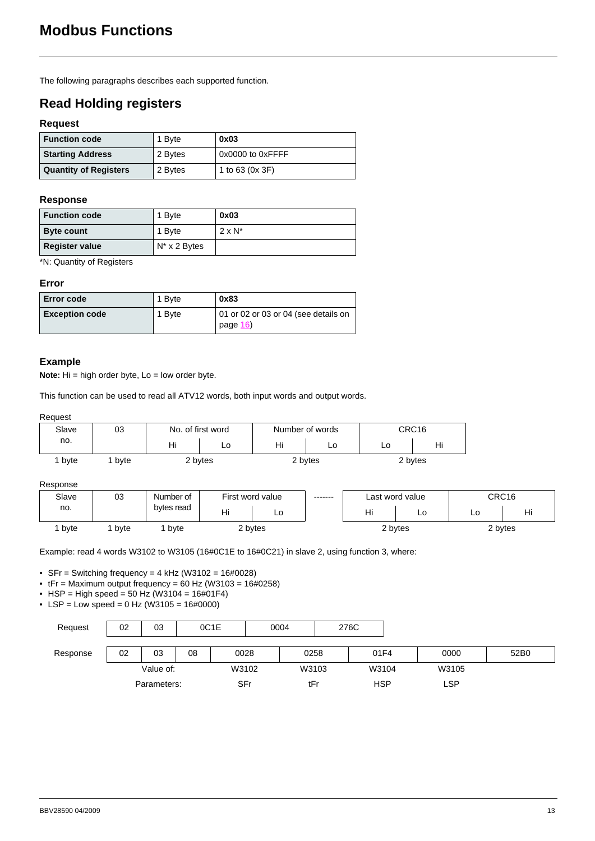The following paragraphs describes each supported function.

## **Read Holding registers**

#### **Request**

| <b>Function code</b>         | 1 Byte  | 0x03             |  |  |
|------------------------------|---------|------------------|--|--|
| <b>Starting Address</b>      | 2 Bytes | 0x0000 to 0xFFFF |  |  |
| <b>Quantity of Registers</b> | 2 Bytes | 1 to 63 (0x 3F)  |  |  |

#### **Response**

| <b>Function code</b>  | 1 Byte               | 0x03           |
|-----------------------|----------------------|----------------|
| <b>Byte count</b>     | 1 Byte               | $2 \times N^*$ |
| <b>Register value</b> | $N^* \times 2$ Bytes |                |

\*N: Quantity of Registers

#### **Error**

| Error code            | 1 Byte | 0x83                                             |
|-----------------------|--------|--------------------------------------------------|
| <b>Exception code</b> | 1 Byte | 01 or 02 or 03 or 04 (see details on<br>page 16) |

#### **Example**

**Note:** Hi = high order byte, Lo = low order byte.

This function can be used to read all ATV12 words, both input words and output words.

#### Request

| Slave | 03   |         | No. of first word |    | Number of words | CRC16 |         |  |
|-------|------|---------|-------------------|----|-----------------|-------|---------|--|
| no.   |      | Hi      | LO                | Hi | LO              | LU    | Hi      |  |
| byte  | byte | 2 bytes |                   |    | 2 bytes         |       | 2 bytes |  |

#### Response

| Slave | 03   | Number of  | First word value |    |  |         |    |    | -------- |  | Last word value |  | CRC16 |
|-------|------|------------|------------------|----|--|---------|----|----|----------|--|-----------------|--|-------|
| no.   |      | bytes read | . .<br>Ħι        | ∟∪ |  | Hi      | LC | LC | Ηı       |  |                 |  |       |
| byte  | byte | byte       | 2 bytes          |    |  | 2 bytes |    |    | 2 bytes  |  |                 |  |       |

Example: read 4 words W3102 to W3105 (16#0C1E to 16#0C21) in slave 2, using function 3, where:

• SFr = Switching frequency = 4 kHz (W3102 = 16#0028)

•  $tFr =$  Maximum output frequency = 60 Hz (W3103 = 16#0258)

- HSP = High speed = 50 Hz (W3104 =  $16\#01F4$ )
- LSP = Low speed =  $0$  Hz (W3105 = 16#0000)

| Request  | 02          | 03 |       | 0C1E  | 0004 |            | 276C |       |      |      |  |
|----------|-------------|----|-------|-------|------|------------|------|-------|------|------|--|
| Response | 02          | 03 | 08    | 0028  | 0258 |            | 01F4 |       | 0000 | 52B0 |  |
|          | Value of:   |    | W3102 | W3103 |      | W3104      |      | W3105 |      |      |  |
|          | Parameters: |    | SFr   | tFr   |      | <b>HSP</b> |      | ∟SP.  |      |      |  |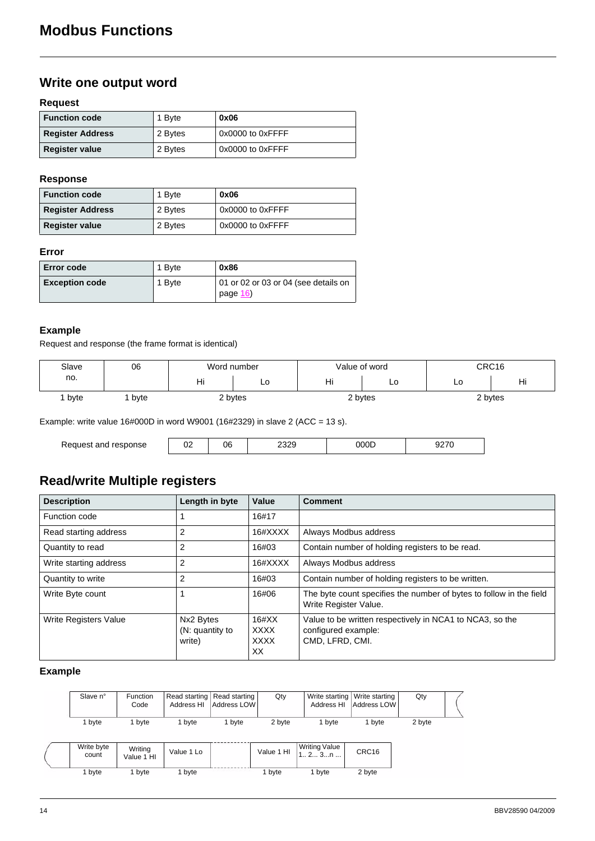## **Write one output word**

#### **Request**

| <b>Function code</b>    | 1 Byte  | 0x06             |
|-------------------------|---------|------------------|
| <b>Register Address</b> | 2 Bytes | 0x0000 to 0xFFFF |
| <b>Register value</b>   | 2 Bytes | 0x0000 to 0xFFFF |

#### **Response**

| <b>Function code</b>    | 1 Byte  | 0x06             |
|-------------------------|---------|------------------|
| <b>Register Address</b> | 2 Bytes | 0x0000 to 0xFFFF |
| <b>Register value</b>   | 2 Bytes | 0x0000 to 0xFFFF |

#### **Error**

| <b>Error code</b>     | 1 Byte | 0x86                                             |
|-----------------------|--------|--------------------------------------------------|
| <b>Exception code</b> | 1 Byte | 01 or 02 or 03 or 04 (see details on<br>page 16) |

#### **Example**

Request and response (the frame format is identical)

| Slave | 06   | Word number |    | Value of word |         | CRC16 |           |
|-------|------|-------------|----|---------------|---------|-------|-----------|
| no.   |      | . .<br>пı   | ∟∪ | . .<br>пı     | LO      | LO    | . .<br>Ηı |
| byte  | byte | 2 bytes     |    |               | 2 bytes |       | 2 bytes   |

Example: write value 16#000D in word W9001 (16#2329) in slave 2 (ACC = 13 s).

| Request and<br>response | UΖ | 06 | ס פר<br>∠ఎ∠ర | 700L |  |
|-------------------------|----|----|--------------|------|--|

## **Read/write Multiple registers**

| <b>Description</b>     | Length in byte                         | Value                                        | <b>Comment</b>                                                                                     |
|------------------------|----------------------------------------|----------------------------------------------|----------------------------------------------------------------------------------------------------|
| Function code          |                                        | 16#17                                        |                                                                                                    |
| Read starting address  | 2                                      | 16#XXXX                                      | Always Modbus address                                                                              |
| Quantity to read       | 2                                      | 16#03                                        | Contain number of holding registers to be read.                                                    |
| Write starting address | 2                                      | 16#XXXX                                      | Always Modbus address                                                                              |
| Quantity to write      | $\overline{2}$                         | 16#03                                        | Contain number of holding registers to be written.                                                 |
| Write Byte count       |                                        | 16#06                                        | The byte count specifies the number of bytes to follow in the field<br>Write Register Value.       |
| Write Registers Value  | Nx2 Bytes<br>(N: quantity to<br>write) | $16\#XX$<br><b>XXXX</b><br><b>XXXX</b><br>XX | Value to be written respectively in NCA1 to NCA3, so the<br>configured example:<br>CMD. LFRD. CMI. |

#### **Example**

| Slave n°            | <b>Function</b><br>Code | Read starting   Read starting  <br>Address HI | Address LOW | Qty        | Address HI                     | Write starting   Write starting<br>Address LOW | Qty    |  |
|---------------------|-------------------------|-----------------------------------------------|-------------|------------|--------------------------------|------------------------------------------------|--------|--|
| 1 byte              | 1 byte                  | 1 byte                                        | 1 byte      | 2 byte     | 1 byte                         | 1 byte                                         | 2 byte |  |
| Write byte<br>count | Writing<br>Value 1 HI   | Value 1 Lo                                    |             | Value 1 HI | <b>Writing Value</b><br>1 2 3n | CRC16                                          |        |  |
| 1 byte              | 1 byte                  | 1 byte                                        |             | 1 byte     | 1 byte                         | 2 byte                                         |        |  |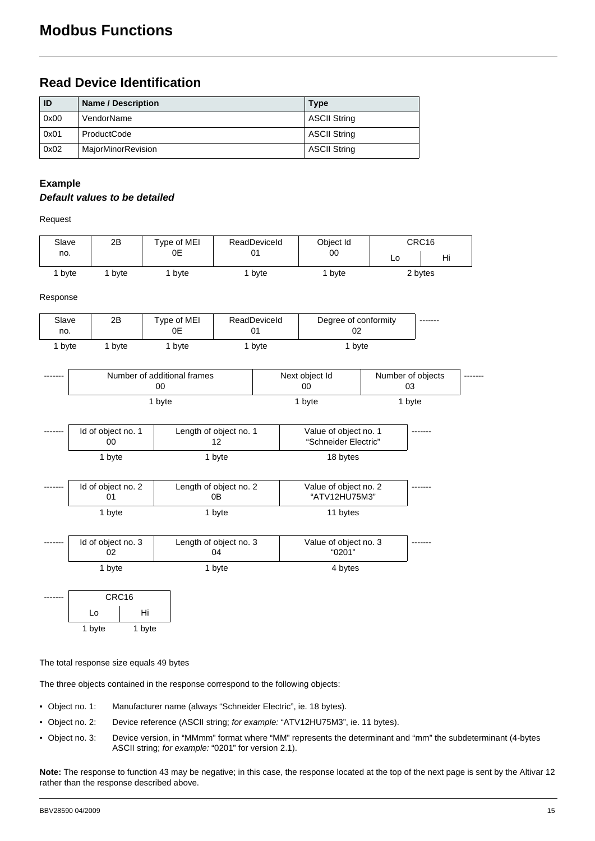### **Read Device Identification**

| ID   | <b>Name / Description</b> | <b>Type</b>         |
|------|---------------------------|---------------------|
| 0x00 | VendorName                | <b>ASCII String</b> |
| 0x01 | ProductCode               | <b>ASCII String</b> |
| 0x02 | MajorMinorRevision        | <b>ASCII String</b> |

#### **Example**

#### *Default values to be detailed*

Request

| Slave | 2B   | $T$ ype of MEI | ReadDeviceId | Object Id |    | CRC16   |
|-------|------|----------------|--------------|-----------|----|---------|
| no.   |      | 0E             | 01           | 00        | Lo | Hi      |
| byte  | byte | byte           | byte         | byte      |    | 2 bytes |

Response

| Slave<br>no. | 2B   | Type of MEI<br>0Ε | ReadDeviceId<br>01 | Degree of conformity<br>02 | -------- |
|--------------|------|-------------------|--------------------|----------------------------|----------|
| bvte         | byte | bvte              | byte               | bvte                       |          |

| ------- | Number of additional frames<br>00 | Next object Id<br>00 | Number of objects<br>О3 | -------- |
|---------|-----------------------------------|----------------------|-------------------------|----------|
|         | byte                              | byte                 | bvte                    |          |

| -------- | Id of object no. 1<br>OΟ | Length of object no. 1 | Value of object no. 1<br>"Schneider Electric" | -------- |
|----------|--------------------------|------------------------|-----------------------------------------------|----------|
|          | byte                     | l byte                 | 18 bytes                                      |          |

| ------- | Id of object no. 2 | Length of object no. 2<br>0Β | Value of object no. 2<br>"ATV12HU75M3" | ------- |
|---------|--------------------|------------------------------|----------------------------------------|---------|
|         | ∣ b∨te             | bvte                         | 11 bytes                               |         |

| -------- | Id of object no. 3 | Length of object no. 3<br>)4 | Value of object no. 3<br>"0201" | -------- |
|----------|--------------------|------------------------------|---------------------------------|----------|
|          | byte               | byte                         | 4 bytes                         |          |

| CRC <sub>16</sub> |        |
|-------------------|--------|
| Lo                | Hi     |
| 1 byte            | 1 byte |

The total response size equals 49 bytes

The three objects contained in the response correspond to the following objects:

- Object no. 1: Manufacturer name (always "Schneider Electric", ie. 18 bytes).
- Object no. 2: Device reference (ASCII string; *for example:* "ATV12HU75M3", ie. 11 bytes).
- Object no. 3: Device version, in "MMmm" format where "MM" represents the determinant and "mm" the subdeterminant (4-bytes ASCII string; *for example:* "0201" for version 2.1).

**Note:** The response to function 43 may be negative; in this case, the response located at the top of the next page is sent by the Altivar 12 rather than the response described above.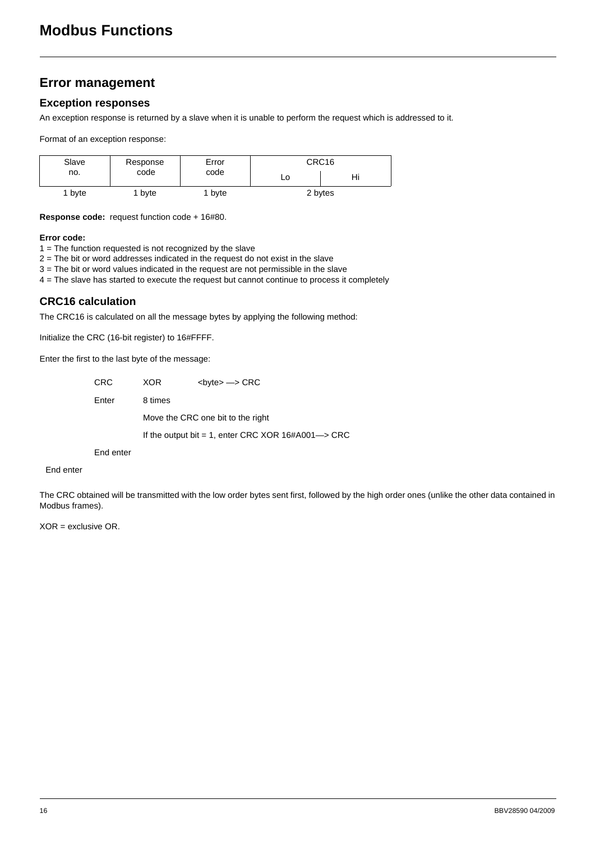## <span id="page-15-0"></span>**Error management**

#### **Exception responses**

An exception response is returned by a slave when it is unable to perform the request which is addressed to it.

Format of an exception response:

| Slave<br>no. | Response<br>code | Error<br>code |    | CRC16   |
|--------------|------------------|---------------|----|---------|
|              |                  |               | Lo | пι      |
| byte         | byte             | byte          |    | 2 bytes |

**Response code:** request function code + 16#80.

#### **Error code:**

1 = The function requested is not recognized by the slave

2 = The bit or word addresses indicated in the request do not exist in the slave

3 = The bit or word values indicated in the request are not permissible in the slave

4 = The slave has started to execute the request but cannot continue to process it completely

#### **CRC16 calculation**

The CRC16 is calculated on all the message bytes by applying the following method:

Initialize the CRC (16-bit register) to 16#FFFF.

Enter the first to the last byte of the message:

CRC XOR <br/>  $\langle$ byte> --> CRC Enter 8 times Move the CRC one bit to the right If the output bit = 1, enter CRC XOR 16#A001—> CRC

End enter

#### End enter

The CRC obtained will be transmitted with the low order bytes sent first, followed by the high order ones (unlike the other data contained in Modbus frames).

XOR = exclusive OR.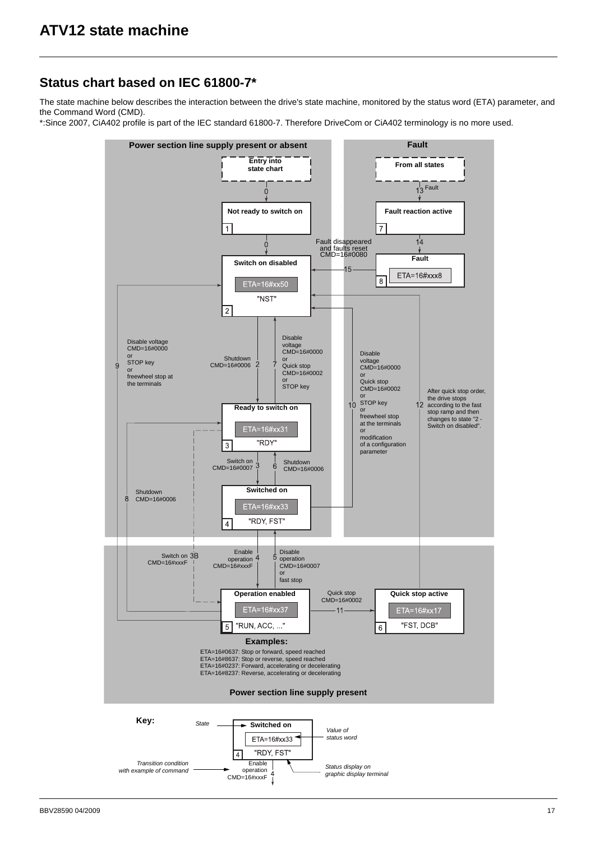### <span id="page-16-0"></span>**Status chart based on IEC 61800-7\***

The state machine below describes the interaction between the drive's state machine, monitored by the status word (ETA) parameter, and the Command Word (CMD).

\*:Since 2007, CiA402 profile is part of the IEC standard 61800-7. Therefore DriveCom or CiA402 terminology is no more used.

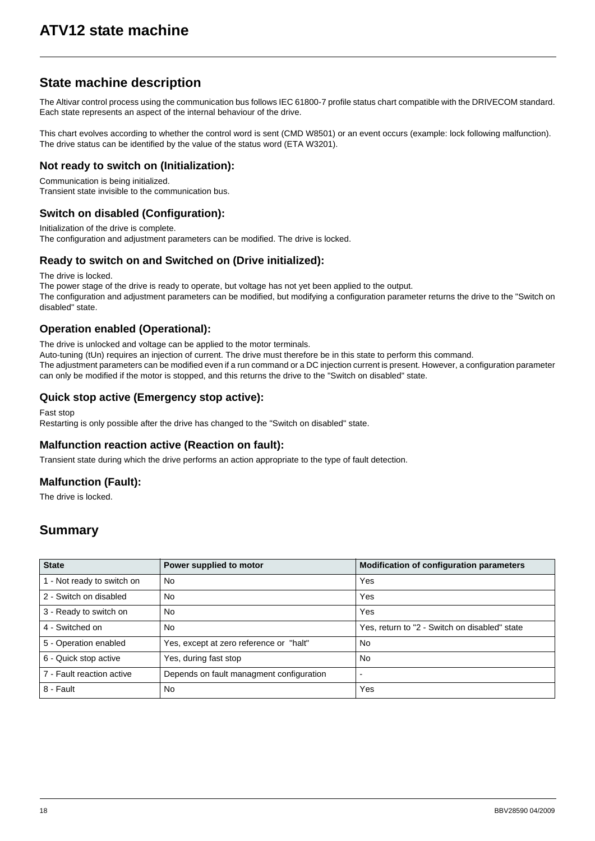## **State machine description**

The Altivar control process using the communication bus follows IEC 61800-7 profile status chart compatible with the DRIVECOM standard. Each state represents an aspect of the internal behaviour of the drive.

This chart evolves according to whether the control word is sent (CMD W8501) or an event occurs (example: lock following malfunction). The drive status can be identified by the value of the status word (ETA W3201).

#### **Not ready to switch on (Initialization):**

Communication is being initialized. Transient state invisible to the communication bus.

#### **Switch on disabled (Configuration):**

Initialization of the drive is complete. The configuration and adjustment parameters can be modified. The drive is locked.

#### **Ready to switch on and Switched on (Drive initialized):**

The drive is locked.

The power stage of the drive is ready to operate, but voltage has not yet been applied to the output. The configuration and adjustment parameters can be modified, but modifying a configuration parameter returns the drive to the "Switch on disabled" state.

#### **Operation enabled (Operational):**

The drive is unlocked and voltage can be applied to the motor terminals.

Auto-tuning (tUn) requires an injection of current. The drive must therefore be in this state to perform this command. The adjustment parameters can be modified even if a run command or a DC injection current is present. However, a configuration parameter can only be modified if the motor is stopped, and this returns the drive to the "Switch on disabled" state.

#### **Quick stop active (Emergency stop active):**

Fast stop

Restarting is only possible after the drive has changed to the "Switch on disabled" state.

#### **Malfunction reaction active (Reaction on fault):**

Transient state during which the drive performs an action appropriate to the type of fault detection.

### **Malfunction (Fault):**

The drive is locked.

## **Summary**

| <b>State</b>               | Power supplied to motor                  | <b>Modification of configuration parameters</b> |
|----------------------------|------------------------------------------|-------------------------------------------------|
| 1 - Not ready to switch on | <b>No</b>                                | Yes                                             |
| 2 - Switch on disabled     | No                                       | Yes                                             |
| 3 - Ready to switch on     | <b>No</b>                                | Yes                                             |
| 4 - Switched on            | <b>No</b>                                | Yes, return to "2 - Switch on disabled" state   |
| 5 - Operation enabled      | Yes, except at zero reference or "halt"  | No.                                             |
| 6 - Quick stop active      | Yes, during fast stop                    | No.                                             |
| 7 - Fault reaction active  | Depends on fault managment configuration |                                                 |
| 8 - Fault                  | No                                       | Yes                                             |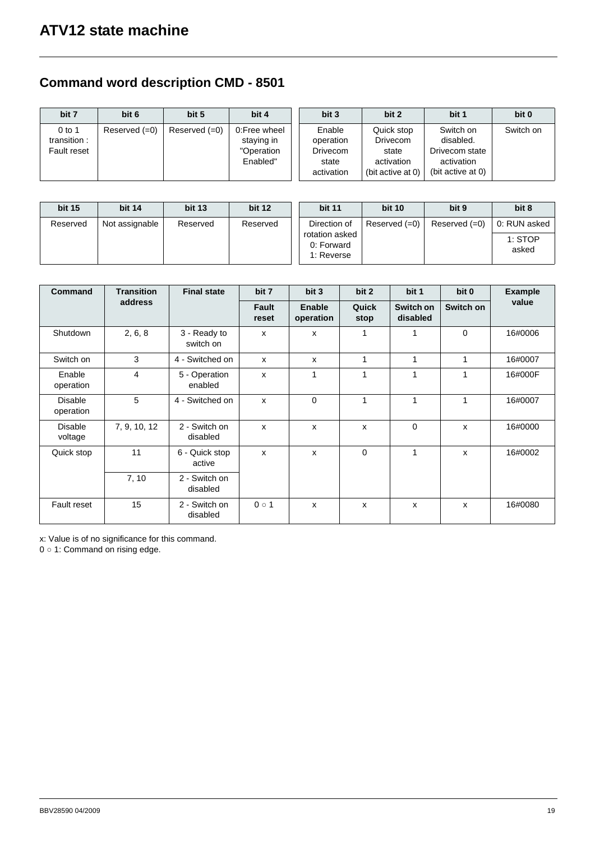## **Command word description CMD - 8501**

| bit 7                                  | bit 6           | bit 5           | bit 4                                                | bit 3                                                         | bit 2                                                                     | bit 1                                                                       | bit 0     |
|----------------------------------------|-----------------|-----------------|------------------------------------------------------|---------------------------------------------------------------|---------------------------------------------------------------------------|-----------------------------------------------------------------------------|-----------|
| $0$ to 1<br>transition:<br>Fault reset | Reserved $(=0)$ | Reserved $(=0)$ | 0:Free wheel<br>staying in<br>"Operation<br>Enabled" | Enable<br>operation<br><b>Drivecom</b><br>state<br>activation | Quick stop<br><b>Drivecom</b><br>state<br>activation<br>(bit active at 0) | Switch on<br>disabled.<br>Drivecom state<br>activation<br>(bit active at 0) | Switch on |

| <b>bit 15</b> | <b>bit 14</b>  | <b>bit 13</b> | <b>bit 12</b> | <b>bit 11</b>                              | <b>bit 10</b>   | bit 9           | bit 8            |
|---------------|----------------|---------------|---------------|--------------------------------------------|-----------------|-----------------|------------------|
| Reserved      | Not assignable | Reserved      | Reserved      | Direction of                               | Reserved $(=0)$ | Reserved $(=0)$ | 0: RUN asked     |
|               |                |               |               | rotation asked<br>0: Forward<br>1: Reverse |                 |                 | 1: STOP<br>asked |

| Command                     | <b>Transition</b>       | <b>Final state</b>        | bit 7                     | bit 3               | bit 2         | bit 1                 | bit 0        | <b>Example</b> |
|-----------------------------|-------------------------|---------------------------|---------------------------|---------------------|---------------|-----------------------|--------------|----------------|
|                             | address                 |                           | Fault<br>reset            | Enable<br>operation | Quick<br>stop | Switch on<br>disabled | Switch on    | value          |
| Shutdown                    | 2, 6, 8                 | 3 - Ready to<br>switch on | X                         | X                   |               | 1                     | $\Omega$     | 16#0006        |
| Switch on                   | 3                       | 4 - Switched on           | $\boldsymbol{\mathsf{x}}$ | X                   | 1             | 1                     | 1            | 16#0007        |
| Enable<br>operation         | $\overline{\mathbf{4}}$ | 5 - Operation<br>enabled  | x                         | 1                   | 1             | 1                     | 1            | 16#000F        |
| <b>Disable</b><br>operation | 5                       | 4 - Switched on           | $\mathsf{x}$              | $\Omega$            | 1             | $\mathbf{1}$          | 1            | 16#0007        |
| <b>Disable</b><br>voltage   | 7, 9, 10, 12            | 2 - Switch on<br>disabled | $\mathsf{x}$              | $\mathsf{x}$        | X             | $\Omega$              | $\mathsf{x}$ | 16#0000        |
| Quick stop                  | 11                      | 6 - Quick stop<br>active  | X                         | X                   | $\Omega$      | 1                     | x            | 16#0002        |
|                             | 7, 10                   | 2 - Switch on<br>disabled |                           |                     |               |                       |              |                |
| <b>Fault reset</b>          | 15                      | 2 - Switch on<br>disabled | $0 \circ 1$               | X                   | x             | X                     | x            | 16#0080        |

x: Value is of no significance for this command.

 $0 \circ 1$ : Command on rising edge.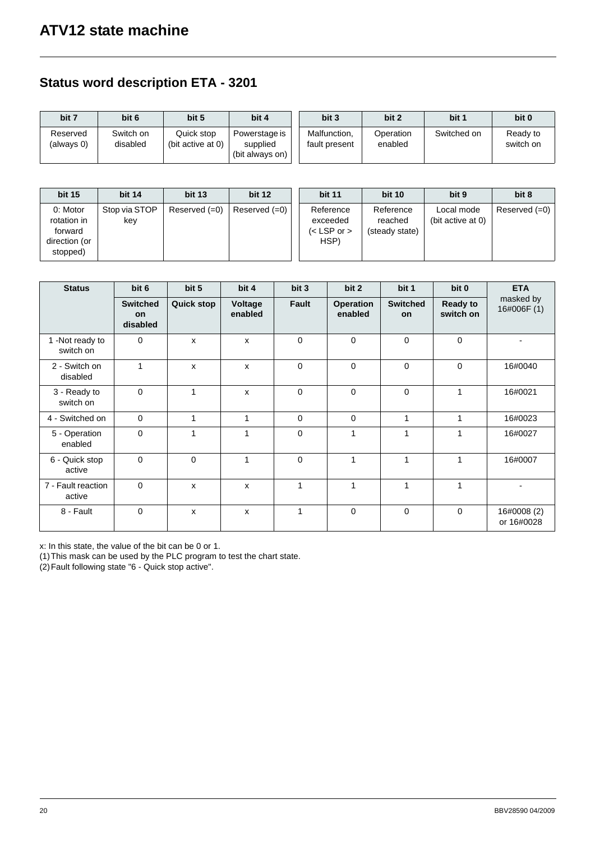## **Status word description ETA - 3201**

| bit 7                  | bit 6                 | bit 5                           | bit 4                                        | bit 3                         | bit 2                | bit 1       | bit 0                 |
|------------------------|-----------------------|---------------------------------|----------------------------------------------|-------------------------------|----------------------|-------------|-----------------------|
| Reserved<br>(always 0) | Switch on<br>disabled | Quick stop<br>(bit active at 0) | Powerstage is<br>supplied<br>(bit always on) | Malfunction.<br>fault present | Operation<br>enabled | Switched on | Ready to<br>switch on |

| <b>bit 15</b>                                                   | <b>bit 14</b>        | <b>bit 13</b>   | <b>bit 12</b> | <b>bit 11</b>                                | <b>bit 10</b>                          | bit 9                           | bit 8           |
|-----------------------------------------------------------------|----------------------|-----------------|---------------|----------------------------------------------|----------------------------------------|---------------------------------|-----------------|
| 0: Motor<br>rotation in<br>forward<br>direction (or<br>stopped) | Stop via STOP<br>kev | Reserved $(=0)$ | Reserved (=0) | Reference<br>exceeded<br>(< LSP or ><br>HSP) | Reference<br>reached<br>(steady state) | Local mode<br>(bit active at 0) | Reserved $(=0)$ |

| <b>Status</b>                | bit 6                             | bit 5             | bit 4              | bit 3        | bit 2                       | bit 1                 | bit 0                        | <b>ETA</b>                |
|------------------------------|-----------------------------------|-------------------|--------------------|--------------|-----------------------------|-----------------------|------------------------------|---------------------------|
|                              | <b>Switched</b><br>on<br>disabled | <b>Quick stop</b> | Voltage<br>enabled | <b>Fault</b> | <b>Operation</b><br>enabled | <b>Switched</b><br>on | <b>Ready to</b><br>switch on | masked by<br>16#006F (1)  |
| 1 -Not ready to<br>switch on | $\mathbf 0$                       | X                 | X                  | $\Omega$     | $\Omega$                    | $\Omega$              | $\Omega$                     |                           |
| 2 - Switch on<br>disabled    | 1                                 | X                 | x                  | $\mathbf 0$  | $\mathbf 0$                 | 0                     | $\mathbf 0$                  | 16#0040                   |
| 3 - Ready to<br>switch on    | $\mathbf 0$                       | 1                 | X                  | $\mathbf 0$  | $\mathbf 0$                 | $\mathbf 0$           |                              | 16#0021                   |
| 4 - Switched on              | $\mathbf 0$                       | $\mathbf{1}$      | 1                  | $\mathbf 0$  | $\mathbf 0$                 | $\mathbf{1}$          | 1                            | 16#0023                   |
| 5 - Operation<br>enabled     | $\mathbf 0$                       | 1                 | 1                  | $\mathbf 0$  | 1                           | 1                     |                              | 16#0027                   |
| 6 - Quick stop<br>active     | $\mathbf 0$                       | $\mathbf 0$       | 1                  | $\mathbf 0$  | 1                           | 1                     |                              | 16#0007                   |
| 7 - Fault reaction<br>active | $\mathbf 0$                       | X                 | X                  | 1            | 1                           | 1                     | 1                            |                           |
| 8 - Fault                    | $\mathbf 0$                       | $\mathsf{x}$      | X                  | 1            | $\mathbf 0$                 | $\Omega$              | $\Omega$                     | 16#0008 (2)<br>or 16#0028 |

x: In this state, the value of the bit can be 0 or 1.

(1)This mask can be used by the PLC program to test the chart state.

(2)Fault following state "6 - Quick stop active".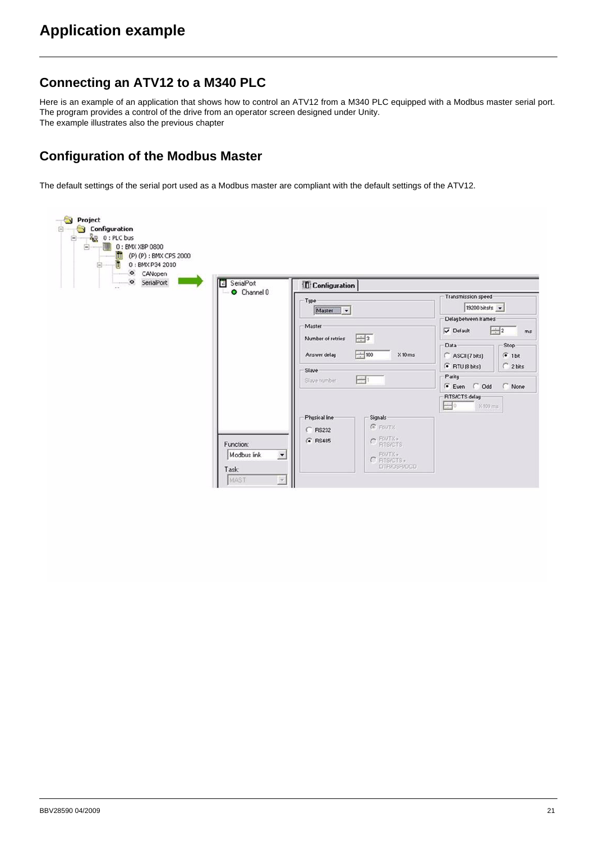### <span id="page-20-0"></span>**Connecting an ATV12 to a M340 PLC**

Here is an example of an application that shows how to control an ATV12 from a M340 PLC equipped with a Modbus master serial port. The program provides a control of the drive from an operator screen designed under Unity. The example illustrates also the previous chapter

## **Configuration of the Modbus Master**

The default settings of the serial port used as a Modbus master are compliant with the default settings of the ATV12.

| (P) (P) : BMX CPS 2000<br>衢<br>0: BMX P34 2010<br>B<br>CANopen<br>· SerialPort<br>B<br>SerialPort<br>$\alpha$ is | <b>Configuration</b>                                                                                                                                      |                                                                                                                                                                                                                                                                            |
|------------------------------------------------------------------------------------------------------------------|-----------------------------------------------------------------------------------------------------------------------------------------------------------|----------------------------------------------------------------------------------------------------------------------------------------------------------------------------------------------------------------------------------------------------------------------------|
| O Channel 0                                                                                                      | Type:<br>Master<br>$\vert \cdot \vert$<br>Master<br>$\frac{1}{2}$ 3<br>Number of retries<br>$-100$<br>Answer delay<br>Slave-<br>$\equiv$<br>Slave number. | Transmission speed<br>19200 bits/s $\sim$<br>Delay between frames<br>$\frac{1}{2}$<br>Default<br>ms<br>Stop:<br>Data-<br>$X10 \text{ ms}$<br>ASCII (7 bits)<br>$G$ 1 bit<br>$C$ 2 bits<br>$\binom{2}{1}$ RTU (8 bits)<br>Parity<br>G Even C Odd<br>C None<br>RTS/CTS delay |
| Function:<br>Modbus link<br>$\overline{ }$<br>Task:<br>MAST<br>$\mathbf{v}$                                      | Physical line<br>Signals<br><b>G</b> PIXITX<br>$C$ RS232<br>$C$ FINTX $\cdot$<br>G RS485<br>FINTX+<br>C RTSICTS+<br><b>DTR/DSR/DCD</b>                    | $\equiv 0$<br>X100 ms                                                                                                                                                                                                                                                      |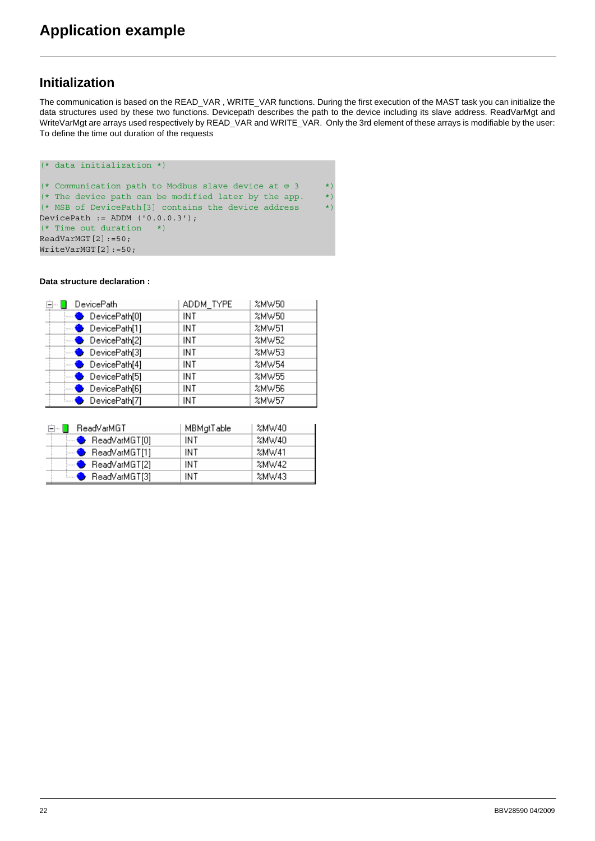### **Initialization**

The communication is based on the READ\_VAR , WRITE\_VAR functions. During the first execution of the MAST task you can initialize the data structures used by these two functions. Devicepath describes the path to the device including its slave address. ReadVarMgt and WriteVarMgt are arrays used respectively by READ\_VAR and WRITE\_VAR. Only the 3rd element of these arrays is modifiable by the user: To define the time out duration of the requests

```
(* data initialization *)
(* Communication path to Modbus slave device at @ 3 *)
(* The device path can be modified later by the app. *)
(* MSB of DevicePath[3] contains the device address *)
DevicePath := ADDM (10.0.0.3');
(* Time out duration *)
ReadVarMGT[2]:=50;
WriteVarMGT[2]:=50;
```
#### **Data structure declaration :**

| <b>DevicePath</b>       | ADDM_TYPE | %MW50 |
|-------------------------|-----------|-------|
| $\bullet$ DevicePath[0] | INT       | %MW50 |
| DevicePath[1]           | INT       | %MW51 |
| $\bullet$ DevicePath[2] | INT       | %MW52 |
| $\bullet$ DevicePath[3] | INT       | %MW53 |
| $\bullet$ DevicePath[4] | INT       | %MW54 |
| $\bullet$ DevicePath[5] | INT       | %MW55 |
| $\bullet$ DevicePath[6] | INT       | %MW56 |
| DevicePath[7]           | INT       | %MW57 |

| 白… D ReadVarMGT              | <b>MBM</b> at Table | %MW40 |
|------------------------------|---------------------|-------|
| $\blacksquare$ ReadVarMGT[0] | INT                 | %MW40 |
| $\leftarrow$ ReadVarMGT[1]   | INT                 | 2MW41 |
| $\leftarrow$ ReadVarMGT[2]   | INT                 | 2MW42 |
| ै ReadVarMGT[3]              | INT                 | %MW43 |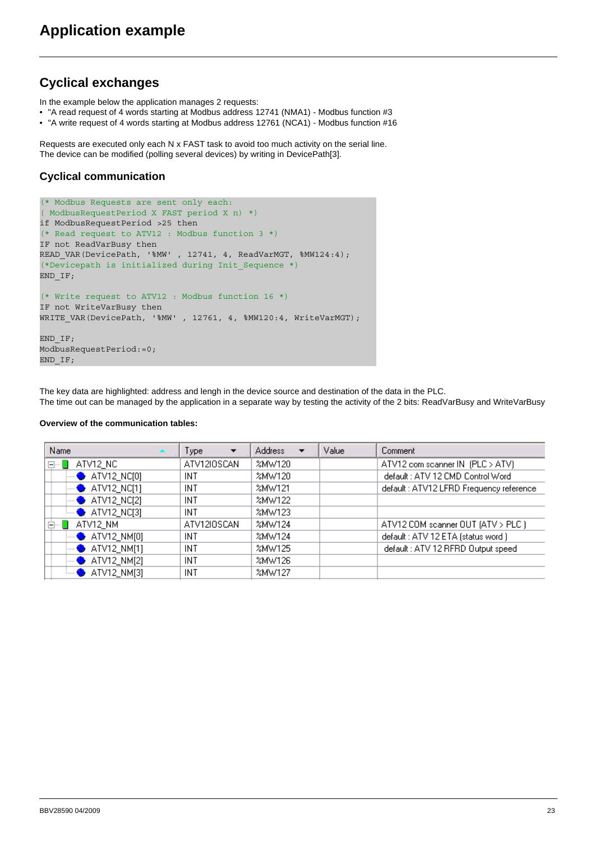## **Cyclical exchanges**

In the example below the application manages 2 requests:

- "A read request of 4 words starting at Modbus address 12741 (NMA1) Modbus function #3
- "A write request of 4 words starting at Modbus address 12761 (NCA1) Modbus function #16

Requests are executed only each N x FAST task to avoid too much activity on the serial line. The device can be modified (polling several devices) by writing in DevicePath[3].

#### **Cyclical communication**

```
(* Modbus Requests are sent only each: 
( ModbusRequestPeriod X FAST period X n) *) 
if ModbusRequestPeriod >25 then
(* Read request to ATV12 : Modbus function 3 *)
IF not ReadVarBusy then
READ_VAR(DevicePath, '%MW' , 12741, 4, ReadVarMGT, %MW124:4);
(*Devicepath is initialized during Init_Sequence *)
END_IF;
(* Write request to ATV12 : Modbus function 16 *)
IF not WriteVarBusy then
WRITE_VAR(DevicePath, '%MW' , 12761, 4, %MW120:4, WriteVarMGT);
END_IF;
ModbusRequestPeriod:=0;
END_IF;
```
The key data are highlighted: address and lengh in the device source and destination of the data in the PLC. The time out can be managed by the application in a separate way by testing the activity of the 2 bits: ReadVarBusy and WriteVarBusy

#### **Overview of the communication tables:**

| Name                      | Type<br>▼   | <b>Address</b><br>▼ | Value | Comment                                 |
|---------------------------|-------------|---------------------|-------|-----------------------------------------|
| ATV12_NC<br>日…            | ATV12IOSCAN | %MW120              |       | ATV12 com scanner IN (PLC > ATV)        |
| $ \bullet$ ATV12_NC[0]    | INT         | %MW120              |       | default: ATV 12 CMD Control Word        |
| $\rightarrow$ ATV12_NC[1] | INT         | %MW121              |       | default: ATV12 LFRD Frequency reference |
| $\rightarrow$ ATV12_NC[2] | INT         | %MW122              |       |                                         |
| $\rightarrow$ ATV12_NC[3] | INT         | %MW123              |       |                                         |
| ATV12_NM<br>白… [          | ATV12IOSCAN | %MW124              |       | ATV12 COM scanner OUT (ATV > PLC )      |
| $\rightarrow$ ATV12_NM[0] | INT         | %MW124              |       | default: ATV 12 ETA (status word.)      |
| $\rightarrow$ ATV12_NM[1] | INT         | %MW125              |       | default: ATV 12 RFRD Output speed       |
| $\rightarrow$ ATV12 NM[2] | INT         | %MW126              |       |                                         |
| $\rightarrow$ ATV12_NM[3] | INT         | %MW127              |       |                                         |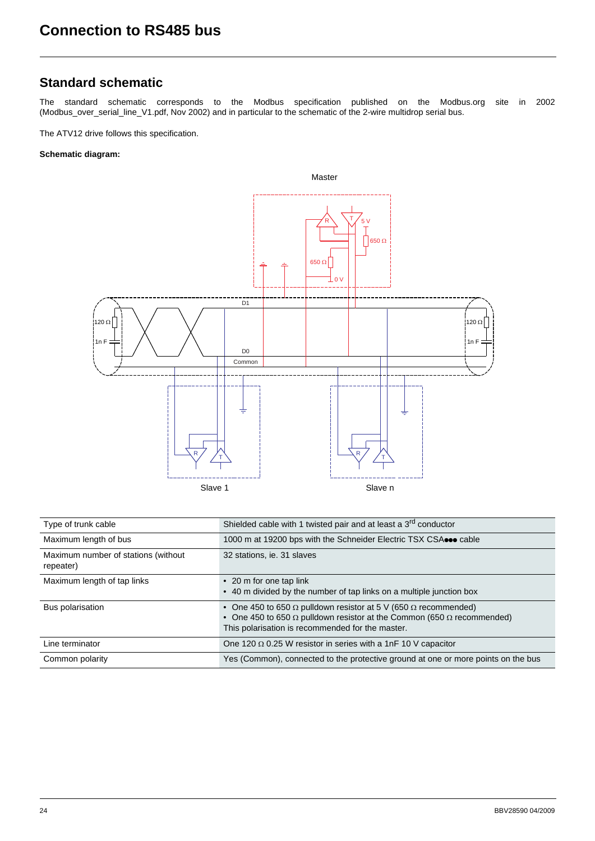## <span id="page-23-0"></span>**Standard schematic**

The standard schematic corresponds to the Modbus specification published on the Modbus.org site in 2002 (Modbus\_over\_serial\_line\_V1.pdf, Nov 2002) and in particular to the schematic of the 2-wire multidrop serial bus.

The ATV12 drive follows this specification.

#### **Schematic diagram:**



| Type of trunk cable                              | Shielded cable with 1 twisted pair and at least a 3 <sup>rd</sup> conductor                                                                                                                                               |
|--------------------------------------------------|---------------------------------------------------------------------------------------------------------------------------------------------------------------------------------------------------------------------------|
| Maximum length of bus                            | 1000 m at 19200 bps with the Schneider Electric TSX CSA cable                                                                                                                                                             |
| Maximum number of stations (without<br>repeater) | 32 stations, ie. 31 slaves                                                                                                                                                                                                |
| Maximum length of tap links                      | • 20 m for one tap link<br>• 40 m divided by the number of tap links on a multiple junction box                                                                                                                           |
| Bus polarisation                                 | • One 450 to 650 $\Omega$ pulldown resistor at 5 V (650 $\Omega$ recommended)<br>• One 450 to 650 $\Omega$ pulldown resistor at the Common (650 $\Omega$ recommended)<br>This polarisation is recommended for the master. |
| Line terminator                                  | One 120 $\Omega$ 0.25 W resistor in series with a 1nF 10 V capacitor                                                                                                                                                      |
| Common polarity                                  | Yes (Common), connected to the protective ground at one or more points on the bus                                                                                                                                         |